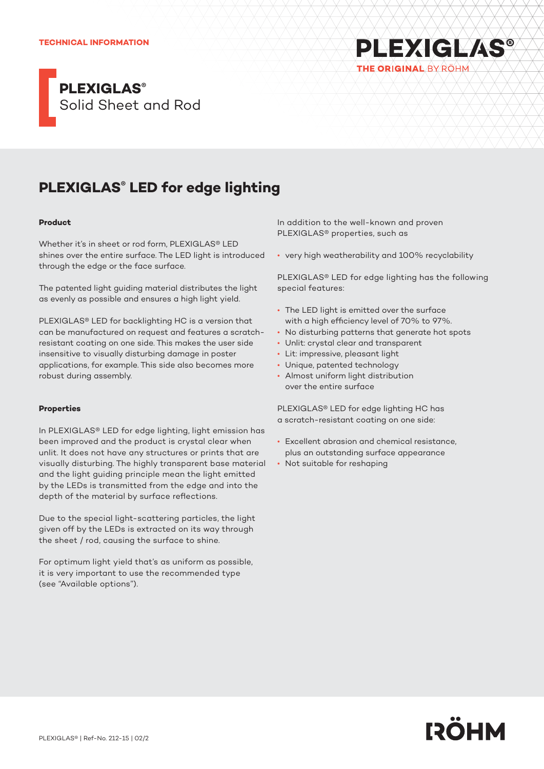### **TECHNICAL INFORMATION**



## **PLEXIGLAS® LED for edge lighting**

### **Product**

Whether it's in sheet or rod form, PLEXIGLAS® LED shines over the entire surface. The LED light is introduced through the edge or the face surface.

The patented light guiding material distributes the light as evenly as possible and ensures a high light yield.

PLEXIGLAS® LED for backlighting HC is a version that can be manufactured on request and features a scratchresistant coating on one side. This makes the user side insensitive to visually disturbing damage in poster applications, for example. This side also becomes more robust during assembly.

### **Properties**

In PLEXIGLAS® LED for edge lighting, light emission has been improved and the product is crystal clear when unlit. It does not have any structures or prints that are visually disturbing. The highly transparent base material and the light guiding principle mean the light emitted by the LEDs is transmitted from the edge and into the depth of the material by surface reflections.

Due to the special light-scattering particles, the light given off by the LEDs is extracted on its way through the sheet / rod, causing the surface to shine.

For optimum light yield that's as uniform as possible, it is very important to use the recommended type (see "Available options").

In addition to the well-known and proven PLEXIGLAS® properties, such as

• very high weatherability and 100% recyclability

PLEXIGLAS® LED for edge lighting has the following special features:

**PLEXIGLAS®** 

THE ORIGINAL BY RÖHM

- The LED light is emitted over the surface with a high efficiency level of 70% to 97%.
- No disturbing patterns that generate hot spots
- Unlit: crystal clear and transparent
- Lit: impressive, pleasant light
- Unique, patented technology
- Almost uniform light distribution over the entire surface

PLEXIGLAS® LED for edge lighting HC has a scratch-resistant coating on one side:

- Excellent abrasion and chemical resistance, plus an outstanding surface appearance
- Not suitable for reshaping

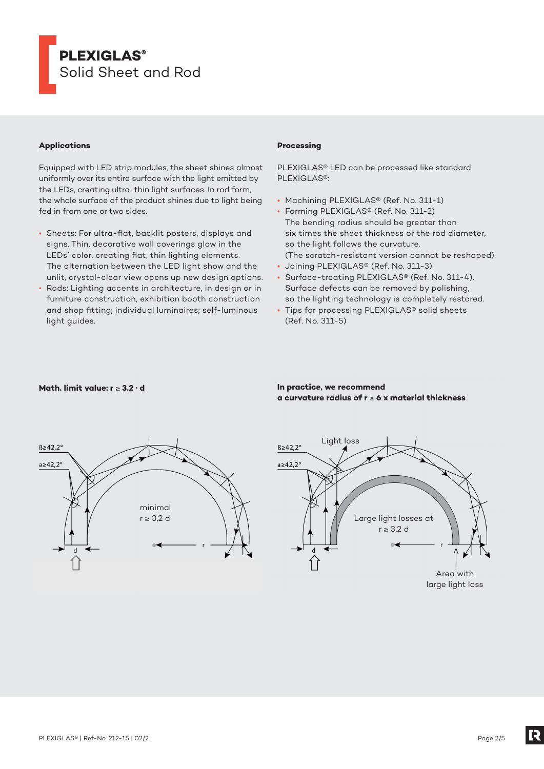

### **Applications**

Equipped with LED strip modules, the sheet shines almost uniformly over its entire surface with the light emitted by the LEDs, creating ultra-thin light surfaces. In rod form, the whole surface of the product shines due to light being fed in from one or two sides.

- Sheets: For ultra-flat, backlit posters, displays and signs. Thin, decorative wall coverings glow in the LEDs' color, creating flat, thin lighting elements. The alternation between the LED light show and the unlit, crystal-clear view opens up new design options.
- Rods: Lighting accents in architecture, in design or in furniture construction, exhibition booth construction and shop fitting; individual luminaires; self-luminous light guides.

### **Processing**

PLEXIGLAS® LED can be processed like standard PLEXIGLAS®:

- Machining PLEXIGLAS® (Ref. No. 311-1)
- Forming PLEXIGLAS® (Ref. No. 311-2) The bending radius should be greater than six times the sheet thickness or the rod diameter, so the light follows the curvature. (The scratch-resistant version cannot be reshaped)
- Joining PLEXIGLAS® (Ref. No. 311-3)
- Surface-treating PLEXIGLAS® (Ref. No. 311-4). Surface defects can be removed by polishing, so the lighting technology is completely restored.
- Tips for processing PLEXIGLAS® solid sheets (Ref. No. 311-5)



### **Math. limit value: r** ≥ **3.2 · d In practice, we recommend a curvature radius of r** ≥ **6 x material thickness**



[2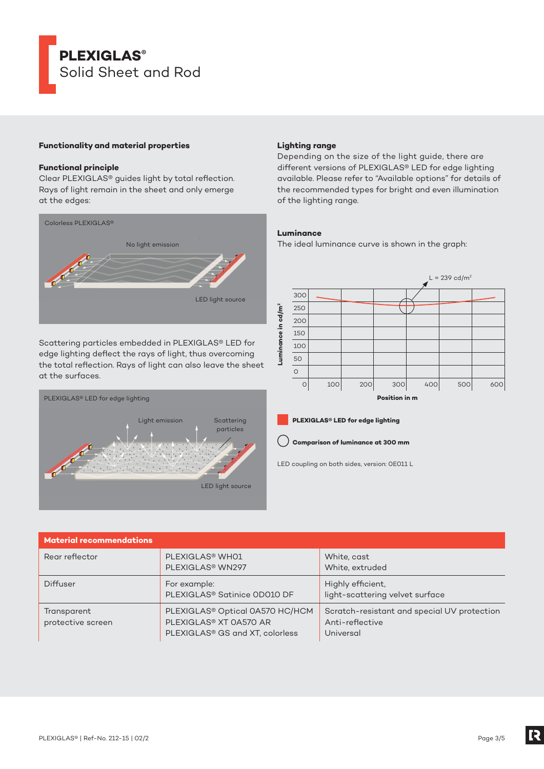# **PLEXIGLAS®** Solid Sheet and Rod

### **Functionality and material properties**

### **Functional principle**

Clear PLEXIGLAS® guides light by total reflection. Rays of light remain in the sheet and only emerge at the edges:



Scattering particles embedded in PLEXIGLAS® LED for edge lighting deflect the rays of light, thus overcoming the total reflection. Rays of light can also leave the sheet at the surfaces.



### **Lighting range**

Depending on the size of the light guide, there are different versions of PLEXIGLAS® LED for edge lighting available. Please refer to "Available options" for details of the recommended types for bright and even illumination of the lighting range.

### **Luminance**

The ideal luminance curve is shown in the graph:





LED coupling on both sides, version: 0E011 L

| <b>Material recommendations</b>  |                                                                                                                                  |                                                                             |
|----------------------------------|----------------------------------------------------------------------------------------------------------------------------------|-----------------------------------------------------------------------------|
| Rear reflector                   | PLEXIGLAS <sup>®</sup> WHO1<br>PLEXIGLAS <sup>®</sup> WN297                                                                      | White, cast<br>White, extruded                                              |
| Diffuser                         | For example:<br>PLEXIGLAS <sup>®</sup> Satinice OD010 DF                                                                         | Highly efficient,<br>light-scattering velvet surface                        |
| Transparent<br>protective screen | PLEXIGLAS <sup>®</sup> Optical 0A570 HC/HCM<br>PLEXIGLAS <sup>®</sup> XT 0A570 AR<br>PLEXIGLAS <sup>®</sup> GS and XT, colorless | Scratch-resistant and special UV protection<br>Anti-reflective<br>Universal |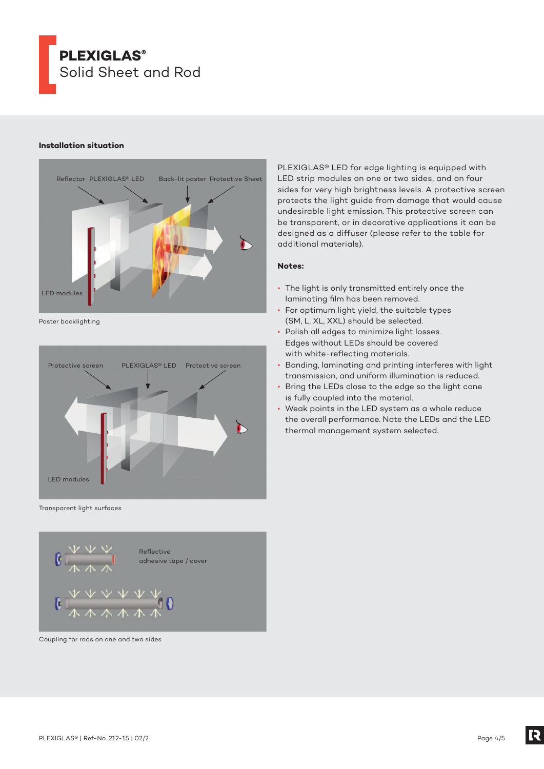

### **Installation situation**



Poster backlighting



Transparent light surfaces



Coupling for rods on one and two sides

PLEXIGLAS® LED for edge lighting is equipped with LED strip modules on one or two sides, and on four sides for very high brightness levels. A protective screen protects the light guide from damage that would cause undesirable light emission. This protective screen can be transparent, or in decorative applications it can be designed as a diffuser (please refer to the table for additional materials).

### **Notes:**

- The light is only transmitted entirely once the laminating film has been removed.
- For optimum light yield, the suitable types (SM, L, XL, XXL) should be selected.
- Polish all edges to minimize light losses. Edges without LEDs should be covered with white-reflecting materials.
- Bonding, laminating and printing interferes with light transmission, and uniform illumination is reduced.
- Bring the LEDs close to the edge so the light cone is fully coupled into the material.
- Weak points in the LED system as a whole reduce the overall performance. Note the LEDs and the LED thermal management system selected.

[2